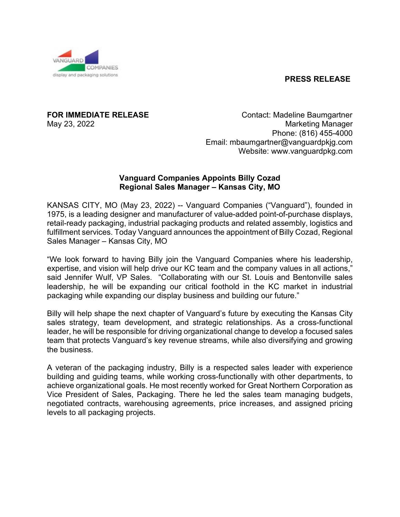## **PRESS RELEASE**



**FOR IMMEDIATE RELEASE** Contact: Madeline Baumgartner May 23, 2022 **Marketing Manager** Marketing Manager Phone: (816) 455-4000 Email: [mbaumgartner@vanguardpkjg.com](mailto:mbaumgartner@vanguardpkjg.com) Website: [www.vanguardpkg.com](http://www.vanguardpkg.com/)

## **Vanguard Companies Appoints Billy Cozad Regional Sales Manager – Kansas City, MO**

KANSAS CITY, MO (May 23, 2022) -- Vanguard Companies ("Vanguard"), founded in 1975, is a leading designer and manufacturer of value-added point-of-purchase displays, retail-ready packaging, industrial packaging products and related assembly, logistics and fulfillment services. Today Vanguard announces the appointment of Billy Cozad, Regional Sales Manager – Kansas City, MO

"We look forward to having Billy join the Vanguard Companies where his leadership, expertise, and vision will help drive our KC team and the company values in all actions," said Jennifer Wulf, VP Sales. "Collaborating with our St. Louis and Bentonville sales leadership, he will be expanding our critical foothold in the KC market in industrial packaging while expanding our display business and building our future."

Billy will help shape the next chapter of Vanguard's future by executing the Kansas City sales strategy, team development, and strategic relationships. As a cross-functional leader, he will be responsible for driving organizational change to develop a focused sales team that protects Vanguard's key revenue streams, while also diversifying and growing the business.

A veteran of the packaging industry, Billy is a respected sales leader with experience building and guiding teams, while working cross-functionally with other departments, to achieve organizational goals. He most recently worked for Great Northern Corporation as Vice President of Sales, Packaging. There he led the sales team managing budgets, negotiated contracts, warehousing agreements, price increases, and assigned pricing levels to all packaging projects.